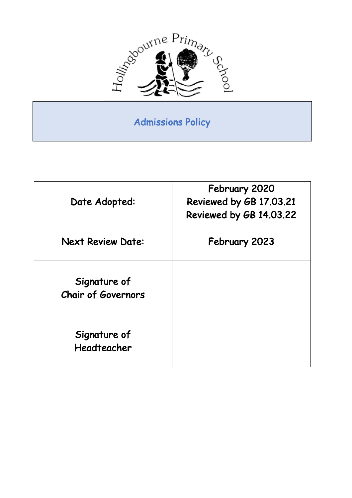

## Admissions Policy

| Date Adopted:                             | February 2020<br>Reviewed by GB 17.03.21<br>Reviewed by GB 14.03.22 |
|-------------------------------------------|---------------------------------------------------------------------|
| <b>Next Review Date:</b>                  | February 2023                                                       |
| Signature of<br><b>Chair of Governors</b> |                                                                     |
| Signature of<br>Headteacher               |                                                                     |